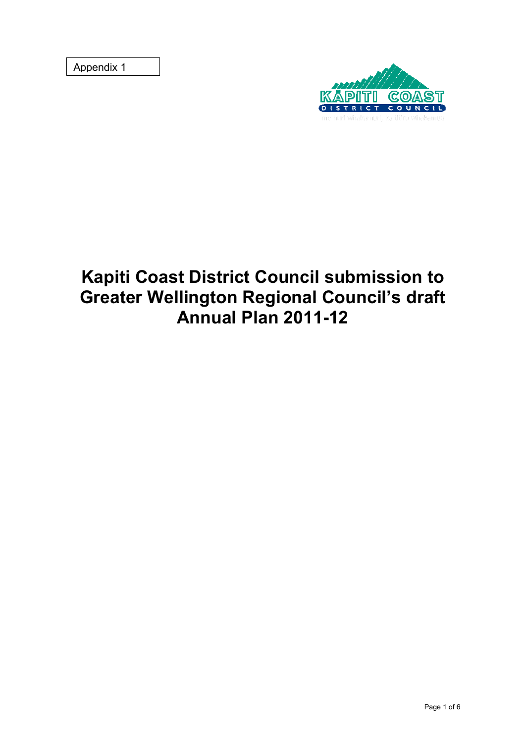Appendix 1



# **Kapiti Coast District Council submission to Greater Wellington Regional Council's draft Annual Plan 2011-12**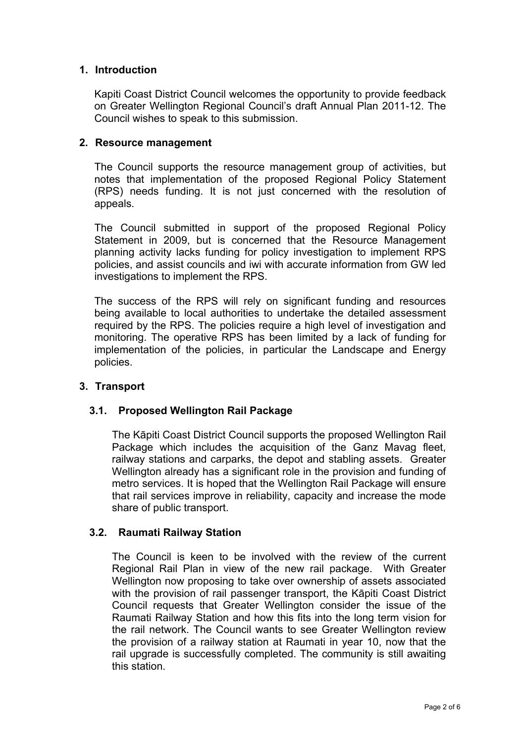# **1. Introduction**

Kapiti Coast District Council welcomes the opportunity to provide feedback on Greater Wellington Regional Council's draft Annual Plan 2011-12. The Council wishes to speak to this submission.

## **2. Resource management**

The Council supports the resource management group of activities, but notes that implementation of the proposed Regional Policy Statement (RPS) needs funding. It is not just concerned with the resolution of appeals.

The Council submitted in support of the proposed Regional Policy Statement in 2009, but is concerned that the Resource Management planning activity lacks funding for policy investigation to implement RPS policies, and assist councils and iwi with accurate information from GW led investigations to implement the RPS.

The success of the RPS will rely on significant funding and resources being available to local authorities to undertake the detailed assessment required by the RPS. The policies require a high level of investigation and monitoring. The operative RPS has been limited by a lack of funding for implementation of the policies, in particular the Landscape and Energy policies.

# **3. Transport**

# **3.1. Proposed Wellington Rail Package**

 The Kāpiti Coast District Council supports the proposed Wellington Rail Package which includes the acquisition of the Ganz Mavag fleet, railway stations and carparks, the depot and stabling assets. Greater Wellington already has a significant role in the provision and funding of metro services. It is hoped that the Wellington Rail Package will ensure that rail services improve in reliability, capacity and increase the mode share of public transport.

# **3.2. Raumati Railway Station**

The Council is keen to be involved with the review of the current Regional Rail Plan in view of the new rail package. With Greater Wellington now proposing to take over ownership of assets associated with the provision of rail passenger transport, the Kāpiti Coast District Council requests that Greater Wellington consider the issue of the Raumati Railway Station and how this fits into the long term vision for the rail network. The Council wants to see Greater Wellington review the provision of a railway station at Raumati in year 10, now that the rail upgrade is successfully completed. The community is still awaiting this station.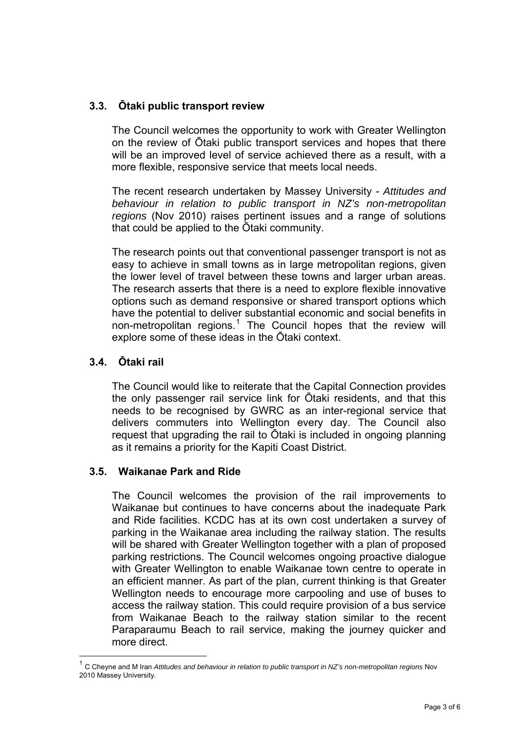# **3.3. Ōtaki public transport review**

The Council welcomes the opportunity to work with Greater Wellington on the review of Ōtaki public transport services and hopes that there will be an improved level of service achieved there as a result, with a more flexible, responsive service that meets local needs.

The recent research undertaken by Massey University - *Attitudes and behaviour in relation to public transport in NZ's non-metropolitan regions* (Nov 2010) raises pertinent issues and a range of solutions that could be applied to the Ōtaki community.

The research points out that conventional passenger transport is not as easy to achieve in small towns as in large metropolitan regions, given the lower level of travel between these towns and larger urban areas. The research asserts that there is a need to explore flexible innovative options such as demand responsive or shared transport options which have the potential to deliver substantial economic and social benefits in non-metropolitan regions.<sup>[1](#page-2-0)</sup> The Council hopes that the review will explore some of these ideas in the Ōtaki context.

# **3.4. Ōtaki rail**

 $\overline{a}$ 

The Council would like to reiterate that the Capital Connection provides the only passenger rail service link for Ōtaki residents, and that this needs to be recognised by GWRC as an inter-regional service that delivers commuters into Wellington every day. The Council also request that upgrading the rail to Ōtaki is included in ongoing planning as it remains a priority for the Kapiti Coast District.

#### **3.5. Waikanae Park and Ride**

The Council welcomes the provision of the rail improvements to Waikanae but continues to have concerns about the inadequate Park and Ride facilities. KCDC has at its own cost undertaken a survey of parking in the Waikanae area including the railway station. The results will be shared with Greater Wellington together with a plan of proposed parking restrictions. The Council welcomes ongoing proactive dialogue with Greater Wellington to enable Waikanae town centre to operate in an efficient manner. As part of the plan, current thinking is that Greater Wellington needs to encourage more carpooling and use of buses to access the railway station. This could require provision of a bus service from Waikanae Beach to the railway station similar to the recent Paraparaumu Beach to rail service, making the journey quicker and more direct.

<span id="page-2-0"></span><sup>&</sup>lt;sup>1</sup> C Cheyne and M Iran Attitudes and behaviour in relation to public transport in NZ's non-metropolitan regions Nov 2010 Massey University.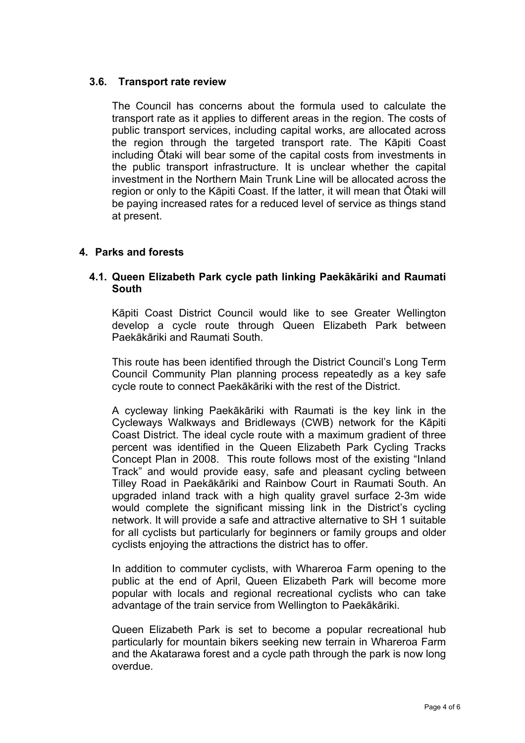# **3.6. Transport rate review**

The Council has concerns about the formula used to calculate the transport rate as it applies to different areas in the region. The costs of public transport services, including capital works, are allocated across the region through the targeted transport rate. The Kāpiti Coast including Ōtaki will bear some of the capital costs from investments in the public transport infrastructure. It is unclear whether the capital investment in the Northern Main Trunk Line will be allocated across the region or only to the Kāpiti Coast. If the latter, it will mean that Ōtaki will be paying increased rates for a reduced level of service as things stand at present.

# **4. Parks and forests**

## **4.1. Queen Elizabeth Park cycle path linking Paekākāriki and Raumati South**

Kāpiti Coast District Council would like to see Greater Wellington develop a cycle route through Queen Elizabeth Park between Paekākāriki and Raumati South.

This route has been identified through the District Council's Long Term Council Community Plan planning process repeatedly as a key safe cycle route to connect Paekākāriki with the rest of the District.

A cycleway linking Paekākāriki with Raumati is the key link in the Cycleways Walkways and Bridleways (CWB) network for the Kāpiti Coast District. The ideal cycle route with a maximum gradient of three percent was identified in the Queen Elizabeth Park Cycling Tracks Concept Plan in 2008. This route follows most of the existing "Inland Track" and would provide easy, safe and pleasant cycling between Tilley Road in Paekākāriki and Rainbow Court in Raumati South. An upgraded inland track with a high quality gravel surface 2-3m wide would complete the significant missing link in the District's cycling network. It will provide a safe and attractive alternative to SH 1 suitable for all cyclists but particularly for beginners or family groups and older cyclists enjoying the attractions the district has to offer.

In addition to commuter cyclists, with Whareroa Farm opening to the public at the end of April, Queen Elizabeth Park will become more popular with locals and regional recreational cyclists who can take advantage of the train service from Wellington to Paekākāriki.

Queen Elizabeth Park is set to become a popular recreational hub particularly for mountain bikers seeking new terrain in Whareroa Farm and the Akatarawa forest and a cycle path through the park is now long overdue.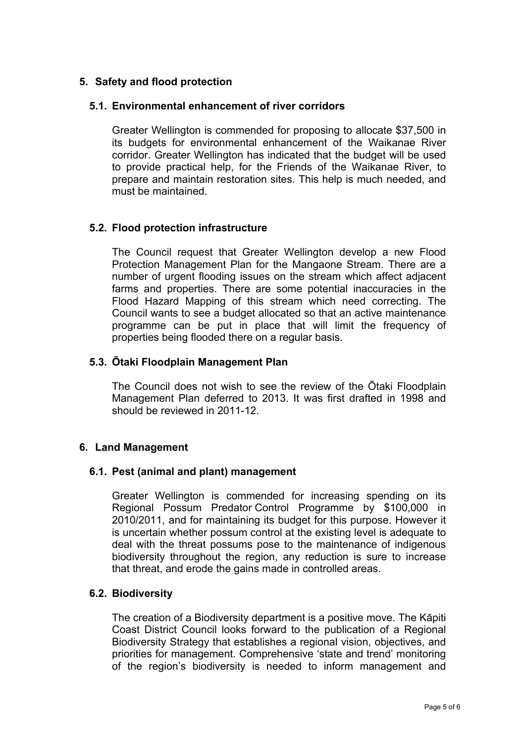# **5. Safety and flood protection**

## **5.1. Environmental enhancement of river corridors**

Greater Wellington is commended for proposing to allocate \$37,500 in its budgets for environmental enhancement of the Waikanae River corridor. Greater Wellington has indicated that the budget will be used to provide practical help, for the Friends of the Waikanae River, to prepare and maintain restoration sites. This help is much needed, and must be maintained.

# **5.2. Flood protection infrastructure**

The Council request that Greater Wellington develop a new Flood Protection Management Plan for the Mangaone Stream. There are a number of urgent flooding issues on the stream which affect adjacent farms and properties. There are some potential inaccuracies in the Flood Hazard Mapping of this stream which need correcting. The Council wants to see a budget allocated so that an active maintenance programme can be put in place that will limit the frequency of properties being flooded there on a regular basis.

#### **5.3. Ōtaki Floodplain Management Plan**

The Council does not wish to see the review of the Ōtaki Floodplain Management Plan deferred to 2013. It was first drafted in 1998 and should be reviewed in 2011-12.

#### **6. Land Management**

#### **6.1. Pest (animal and plant) management**

Greater Wellington is commended for increasing spending on its Regional Possum Predator Control Programme by \$100,000 in 2010/2011, and for maintaining its budget for this purpose. However it is uncertain whether possum control at the existing level is adequate to deal with the threat possums pose to the maintenance of indigenous biodiversity throughout the region, any reduction is sure to increase that threat, and erode the gains made in controlled areas.

# **6.2. Biodiversity**

The creation of a Biodiversity department is a positive move. The Kāpiti Coast District Council looks forward to the publication of a Regional Biodiversity Strategy that establishes a regional vision, objectives, and priorities for management. Comprehensive 'state and trend' monitoring of the region's biodiversity is needed to inform management and